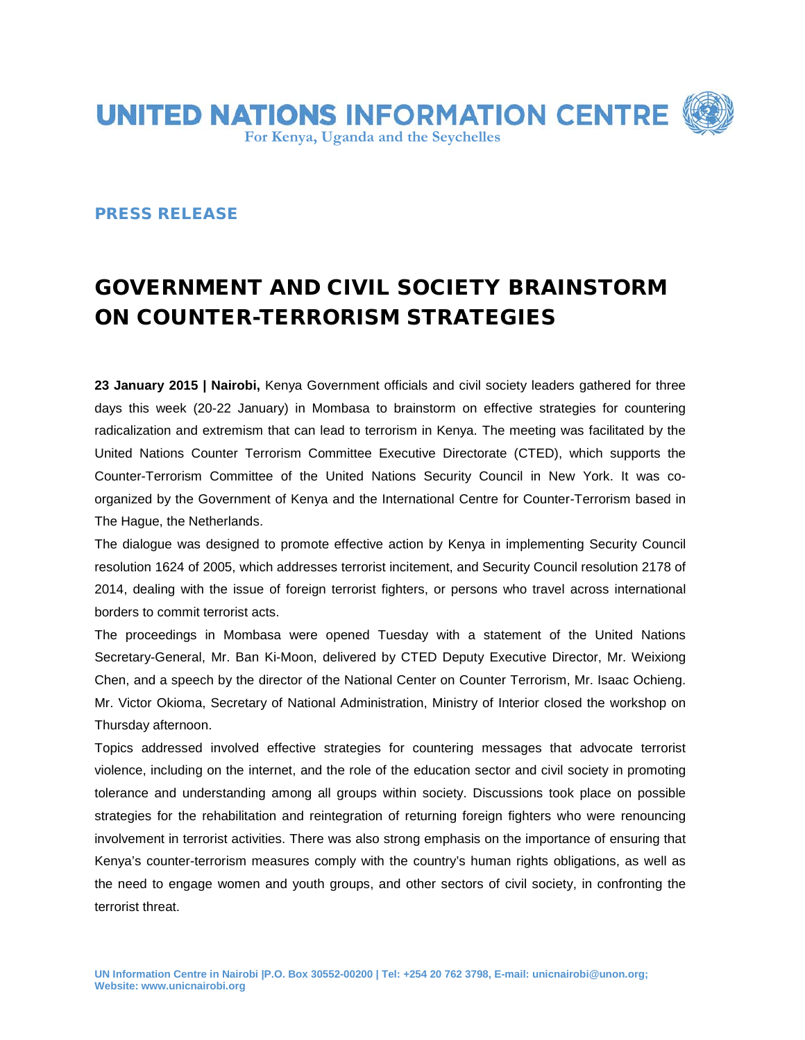

## PRESS RELEASE

## GOVERNMENT AND CIVIL SOCIETY BRAINSTORM ON COUNTER-TERRORISM STRATEGIES

**23 January 2015 | Nairobi,** Kenya Government officials and civil society leaders gathered for three days this week (20-22 January) in Mombasa to brainstorm on effective strategies for countering radicalization and extremism that can lead to terrorism in Kenya. The meeting was facilitated by the United Nations Counter Terrorism Committee Executive Directorate (CTED), which supports the Counter-Terrorism Committee of the United Nations Security Council in New York. It was coorganized by the Government of Kenya and the International Centre for Counter-Terrorism based in The Hague, the Netherlands.

The dialogue was designed to promote effective action by Kenya in implementing Security Council resolution 1624 of 2005, which addresses terrorist incitement, and Security Council resolution 2178 of 2014, dealing with the issue of foreign terrorist fighters, or persons who travel across international borders to commit terrorist acts.

The proceedings in Mombasa were opened Tuesday with a statement of the United Nations Secretary-General, Mr. Ban Ki-Moon, delivered by CTED Deputy Executive Director, Mr. Weixiong Chen, and a speech by the director of the National Center on Counter Terrorism, Mr. Isaac Ochieng. Mr. Victor Okioma, Secretary of National Administration, Ministry of Interior closed the workshop on Thursday afternoon.

Topics addressed involved effective strategies for countering messages that advocate terrorist violence, including on the internet, and the role of the education sector and civil society in promoting tolerance and understanding among all groups within society. Discussions took place on possible strategies for the rehabilitation and reintegration of returning foreign fighters who were renouncing involvement in terrorist activities. There was also strong emphasis on the importance of ensuring that Kenya's counter-terrorism measures comply with the country's human rights obligations, as well as the need to engage women and youth groups, and other sectors of civil society, in confronting the terrorist threat.